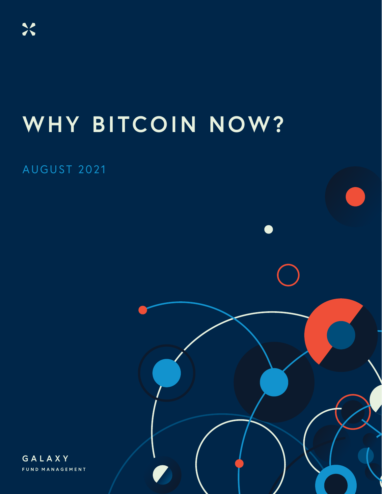# **WHY BITCOIN NOW?**

GALAXY FUND MANAGEMENT IN STRUCTURE IN THE STRUCTURE OF THE STRUCTURE OF THE STRUCTURE OF THE STRUCTURE OF THE

## AUGUST 2021

GALAXY FUND MANAGEMENT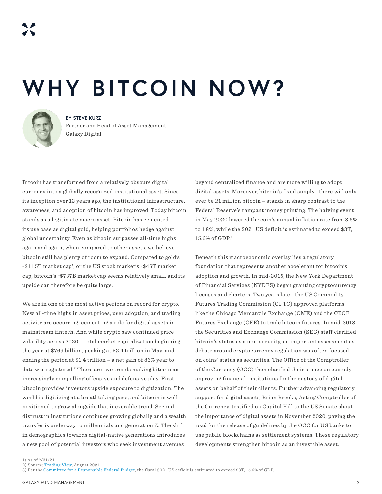## **WHY BITCOIN NOW?**



#### **BY STEVE KURZ**

Partner and Head of Asset Management Galaxy Digital

Bitcoin has transformed from a relatively obscure digital currency into a globally recognized institutional asset. Since its inception over 12 years ago, the institutional infrastructure, awareness, and adoption of bitcoin has improved. Today bitcoin stands as a legitimate macro asset. Bitcoin has cemented its use case as digital gold, helping portfolios hedge against global uncertainty. Even as bitcoin surpasses all-time highs again and again, when compared to other assets, we believe bitcoin still has plenty of room to expand. Compared to gold's ~\$11.5T market cap1 , or the US stock market's ~\$46T market cap, bitcoin's ~\$737B market cap seems relatively small, and its upside can therefore be quite large.

We are in one of the most active periods on record for crypto. New all-time highs in asset prices, user adoption, and trading activity are occurring, cementing a role for digital assets in mainstream fintech. And while crypto saw continued price volatility across 2020 – total market capitalization beginning the year at \$769 billion, peaking at \$2.4 trillion in May, and ending the period at \$1.4 trillion – a net gain of 86% year to date was registered.<sup>2</sup> There are two trends making bitcoin an increasingly compelling offensive and defensive play. First, bitcoin provides investors upside exposure to digitization. The world is digitizing at a breathtaking pace, and bitcoin is wellpositioned to grow alongside that inexorable trend. Second, distrust in institutions continues growing globally and a wealth transfer is underway to millennials and generation Z. The shift in demographics towards digital-native generations introduces a new pool of potential investors who seek investment avenues

beyond centralized finance and are more willing to adopt digital assets. Moreover, bitcoin's fixed supply –there will only ever be 21 million bitcoin – stands in sharp contrast to the Federal Reserve's rampant money printing. The halving event in May 2020 lowered the coin's annual inflation rate from 3.6% to 1.8%, while the 2021 US deficit is estimated to exceed \$3T, 15.6% of GDP.3

Beneath this macroeconomic overlay lies a regulatory foundation that represents another accelerant for bitcoin's adoption and growth. In mid-2015, the New York Department of Financial Services (NYDFS) began granting cryptocurrency licenses and charters. Two years later, the US Commodity Futures Trading Commission (CFTC) approved platforms like the Chicago Mercantile Exchange (CME) and the CBOE Futures Exchange (CFE) to trade bitcoin futures. In mid-2018, the Securities and Exchange Commission (SEC) staff clarified bitcoin's status as a non-security, an important assessment as debate around cryptocurrency regulation was often focused on coins' status as securities. The Office of the Comptroller of the Currency (OCC) then clarified their stance on custody approving financial institutions for the custody of digital assets on behalf of their clients. Further advancing regulatory support for digital assets, Brian Brooks, Acting Comptroller of the Currency, testified on Capitol Hill to the US Senate about the importance of digital assets in November 2020, paving the road for the release of guidelines by the OCC for US banks to use public blockchains as settlement systems. These regulatory developments strengthen bitcoin as an investable asset.

<sup>2)</sup> Source: [Trading View](https://www.tradingview.com/chart/?symbol=CRYPTOCAP%3ATOTAL), August 2021.

<sup>3)</sup> Per the [Committee for a Responsible Federal Budget](https://www.crfb.org/blogs/new-budget-projections-show-record-deficits-and-debt), the fiscal 2021 US deficit is estimated to exceed \$3T, 15.6% of GDP.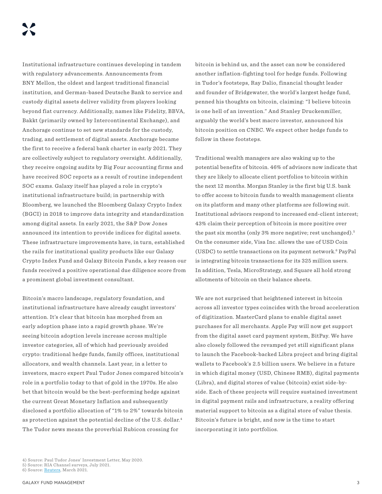Institutional infrastructure continues developing in tandem with regulatory advancements. Announcements from BNY Mellon, the oldest and largest traditional financial institution, and German-based Deutsche Bank to service and custody digital assets deliver validity from players looking beyond fiat currency. Additionally, names like Fidelity, BBVA, Bakkt (primarily owned by Intercontinental Exchange), and Anchorage continue to set new standards for the custody, trading, and settlement of digital assets. Anchorage became the first to receive a federal bank charter in early 2021. They are collectively subject to regulatory oversight. Additionally, they receive ongoing audits by Big Four accounting firms and have received SOC reports as a result of routine independent SOC exams. Galaxy itself has played a role in crypto's institutional infrastructure build; in partnership with Bloomberg, we launched the Bloomberg Galaxy Crypto Index (BGCI) in 2018 to improve data integrity and standardization among digital assets. In early 2021, the S&P Dow Jones announced its intention to provide indices for digital assets. These infrastructure improvements have, in turn, established the rails for institutional quality products like our Galaxy Crypto Index Fund and Galaxy Bitcoin Funds, a key reason our funds received a positive operational due diligence score from a prominent global investment consultant.

Bitcoin's macro landscape, regulatory foundation, and institutional infrastructure have already caught investors' attention. It's clear that bitcoin has morphed from an early adoption phase into a rapid growth phase. We're seeing bitcoin adoption levels increase across multiple investor categories, all of which had previously avoided crypto: traditional hedge funds, family offices, institutional allocators, and wealth channels. Last year, in a letter to investors, macro expert Paul Tudor Jones compared bitcoin's role in a portfolio today to that of gold in the 1970s. He also bet that bitcoin would be the best-performing hedge against the current Great Monetary Inflation and subsequently disclosed a portfolio allocation of "1% to 2%" towards bitcoin as protection against the potential decline of the U.S. dollar.4 The Tudor news means the proverbial Rubicon crossing for

bitcoin is behind us, and the asset can now be considered another inflation-fighting tool for hedge funds. Following in Tudor's footsteps, Ray Dalio, financial thought leader and founder of Bridgewater, the world's largest hedge fund, penned his thoughts on bitcoin, claiming: "I believe bitcoin is one hell of an invention." And Stanley Druckenmiller, arguably the world's best macro investor, announced his bitcoin position on CNBC. We expect other hedge funds to follow in these footsteps.

Traditional wealth managers are also waking up to the potential benefits of bitcoin. 46% of advisors now indicate that they are likely to allocate client portfolios to bitcoin within the next 12 months. Morgan Stanley is the first big U.S. bank to offer access to bitcoin funds to wealth management clients on its platform and many other platforms are following suit. Institutional advisors respond to increased end-client interest; 43% claim their perception of bitcoin is more positive over the past six months (only 3% more negative; rest unchanged).<sup>5</sup> On the consumer side, Visa Inc. allows the use of USD Coin (USDC) to settle transactions on its payment network.<sup>6</sup> PayPal is integrating bitcoin transactions for its 325 million users. In addition, Tesla, MicroStrategy, and Square all hold strong allotments of bitcoin on their balance sheets.

We are not surprised that heightened interest in bitcoin across all investor types coincides with the broad acceleration of digitization. MasterCard plans to enable digital asset purchases for all merchants. Apple Pay will now get support from the digital asset card payment system, BitPay. We have also closely followed the revamped yet still significant plans to launch the Facebook-backed Libra project and bring digital wallets to Facebook's 2.5 billion users. We believe in a future in which digital money (USD, Chinese RMB), digital payments (Libra), and digital stores of value (bitcoin) exist side-byside. Each of these projects will require sustained investment in digital payment rails and infrastructure, a reality offering material support to bitcoin as a digital store of value thesis. Bitcoin's future is bright, and now is the time to start incorporating it into portfolios.

<sup>4)</sup> Source: Paul Tudor Jones' Investment Letter, May 2020.

<sup>5)</sup> Source: RIA Channel surveys, July 2021.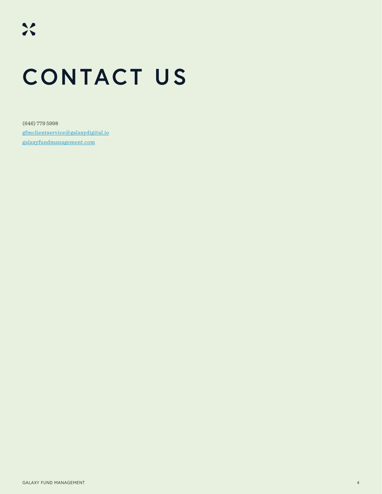## **CONTACT US**

(646) 779 5998 gfmclientservice@galaxydigital.io galaxyfundmanagement.com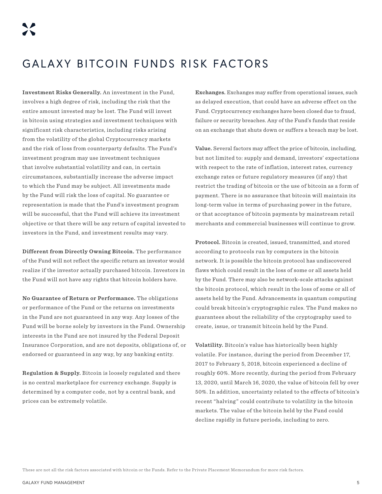### GALAXY BITCOIN FUNDS RISK FACTORS

**Investment Risks Generally.** An investment in the Fund, involves a high degree of risk, including the risk that the entire amount invested may be lost. The Fund will invest in bitcoin using strategies and investment techniques with significant risk characteristics, including risks arising from the volatility of the global Cryptocurrency markets and the risk of loss from counterparty defaults. The Fund's investment program may use investment techniques that involve substantial volatility and can, in certain circumstances, substantially increase the adverse impact to which the Fund may be subject. All investments made by the Fund will risk the loss of capital. No guarantee or representation is made that the Fund's investment program will be successful, that the Fund will achieve its investment objective or that there will be any return of capital invested to investors in the Fund, and investment results may vary.

**Different from Directly Owning Bitcoin.** The performance of the Fund will not reflect the specific return an investor would realize if the investor actually purchased bitcoin. Investors in the Fund will not have any rights that bitcoin holders have.

**No Guarantee of Return or Performance.** The obligations or performance of the Fund or the returns on investments in the Fund are not guaranteed in any way. Any losses of the Fund will be borne solely by investors in the Fund. Ownership interests in the Fund are not insured by the Federal Deposit Insurance Corporation, and are not deposits, obligations of, or endorsed or guaranteed in any way, by any banking entity.

**Regulation & Supply.** Bitcoin is loosely regulated and there is no central marketplace for currency exchange. Supply is determined by a computer code, not by a central bank, and prices can be extremely volatile.

**Exchanges.** Exchanges may suffer from operational issues, such as delayed execution, that could have an adverse effect on the Fund. Cryptocurrency exchanges have been closed due to fraud, failure or security breaches. Any of the Fund's funds that reside on an exchange that shuts down or suffers a breach may be lost.

**Value.** Several factors may affect the price of bitcoin, including, but not limited to: supply and demand, investors' expectations with respect to the rate of inflation, interest rates, currency exchange rates or future regulatory measures (if any) that restrict the trading of bitcoin or the use of bitcoin as a form of payment. There is no assurance that bitcoin will maintain its long-term value in terms of purchasing power in the future, or that acceptance of bitcoin payments by mainstream retail merchants and commercial businesses will continue to grow.

**Protocol.** Bitcoin is created, issued, transmitted, and stored according to protocols run by computers in the bitcoin network. It is possible the bitcoin protocol has undiscovered flaws which could result in the loss of some or all assets held by the Fund. There may also be network-scale attacks against the bitcoin protocol, which result in the loss of some or all of assets held by the Fund. Advancements in quantum computing could break bitcoin's cryptographic rules. The Fund makes no guarantees about the reliability of the cryptography used to create, issue, or transmit bitcoin held by the Fund.

**Volatility.** Bitcoin's value has historically been highly volatile. For instance, during the period from December 17, 2017 to February 5, 2018, bitcoin experienced a decline of roughly 60%. More recently, during the period from February 13, 2020, until March 16, 2020, the value of bitcoin fell by over 50%. In addition, uncertainty related to the effects of bitcoin's recent "halving" could contribute to volatility in the bitcoin markets. The value of the bitcoin held by the Fund could decline rapidly in future periods, including to zero.

These are not all the risk factors associated with bitcoin or the Funds. Refer to the Private Placement Memorandum for more risk factors.